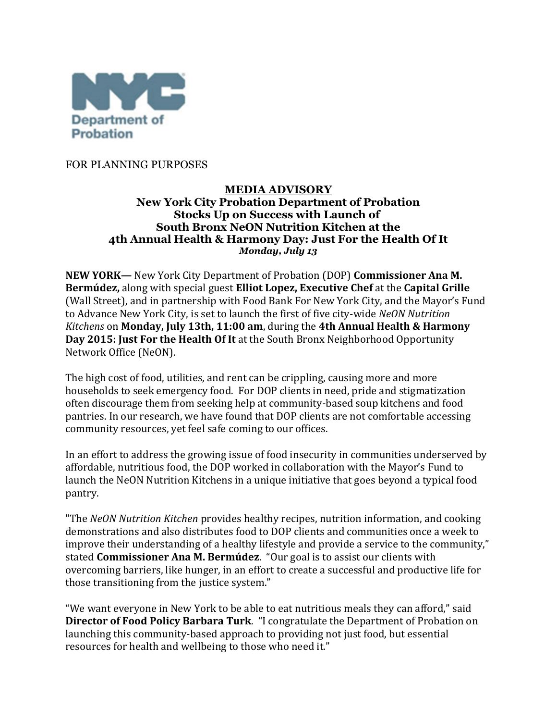

FOR PLANNING PURPOSES

### **MEDIA ADVISORY New York City Probation Department of Probation Stocks Up on Success with Launch of South Bronx NeON Nutrition Kitchen at the 4th Annual Health & Harmony Day: Just For the Health Of It** *Monday, July 13*

**NEW YORK—** New York City Department of Probation (DOP) **Commissioner Ana M. Bermúdez,** along with special guest **Elliot Lopez, Executive Chef** at the **Capital Grille**  (Wall Street), and in partnership with Food Bank For New York City, and the Mayor's Fund to Advance New York City, is set to launch the first of five city-wide *NeON Nutrition Kitchens* on **Monday, July 13th, 11:00 am**, during the **4th Annual Health & Harmony Day 2015: Just For the Health Of It** at the South Bronx Neighborhood Opportunity Network Office (NeON).

The high cost of food, utilities, and rent can be crippling, causing more and more households to seek emergency food. For DOP clients in need, pride and stigmatization often discourage them from seeking help at community-based soup kitchens and food pantries. In our research, we have found that DOP clients are not comfortable accessing community resources, yet feel safe coming to our offices.

In an effort to address the growing issue of food insecurity in communities underserved by affordable, nutritious food, the DOP worked in collaboration with the Mayor's Fund to launch the NeON Nutrition Kitchens in a unique initiative that goes beyond a typical food pantry.

"The *NeON Nutrition Kitchen* provides healthy recipes, nutrition information, and cooking demonstrations and also distributes food to DOP clients and communities once a week to improve their understanding of a healthy lifestyle and provide a service to the community," stated **Commissioner Ana M. Bermúdez**. "Our goal is to assist our clients with overcoming barriers, like hunger, in an effort to create a successful and productive life for those transitioning from the justice system."

"We want everyone in New York to be able to eat nutritious meals they can afford," said **Director of Food Policy Barbara Turk**. "I congratulate the Department of Probation on launching this community-based approach to providing not just food, but essential resources for health and wellbeing to those who need it."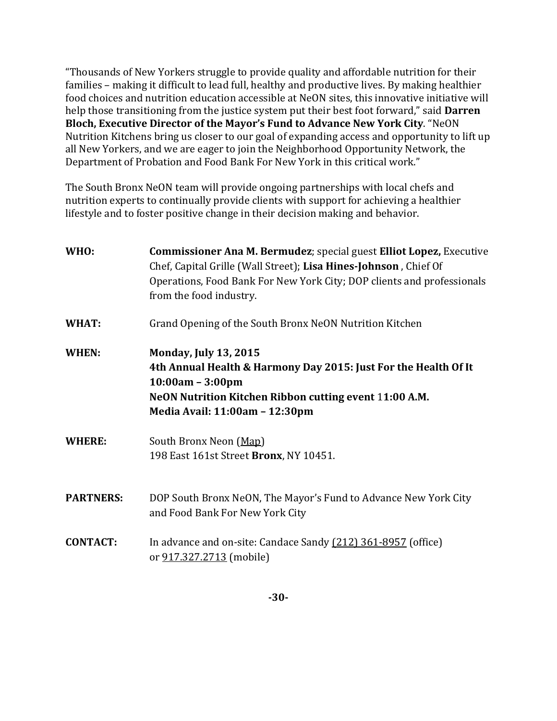"Thousands of New Yorkers struggle to provide quality and affordable nutrition for their families – making it difficult to lead full, healthy and productive lives. By making healthier food choices and nutrition education accessible at NeON sites, this innovative initiative will help those transitioning from the justice system put their best foot forward," said **Darren Bloch, Executive Director of the Mayor's Fund to Advance New York City**. "NeON Nutrition Kitchens bring us closer to our goal of expanding access and opportunity to lift up all New Yorkers, and we are eager to join the Neighborhood Opportunity Network, the Department of Probation and Food Bank For New York in this critical work."

The South Bronx NeON team will provide ongoing partnerships with local chefs and nutrition experts to continually provide clients with support for achieving a healthier lifestyle and to foster positive change in their decision making and behavior.

| WHO:             | <b>Commissioner Ana M. Bermudez; special guest Elliot Lopez, Executive</b><br>Chef, Capital Grille (Wall Street); Lisa Hines-Johnson, Chief Of<br>Operations, Food Bank For New York City; DOP clients and professionals<br>from the food industry. |
|------------------|-----------------------------------------------------------------------------------------------------------------------------------------------------------------------------------------------------------------------------------------------------|
| WHAT:            | Grand Opening of the South Bronx NeON Nutrition Kitchen                                                                                                                                                                                             |
| WHEN:            | <b>Monday, July 13, 2015</b><br>4th Annual Health & Harmony Day 2015: Just For the Health Of It<br>$10:00am - 3:00pm$<br>NeON Nutrition Kitchen Ribbon cutting event 11:00 A.M.<br>Media Avail: 11:00am - 12:30pm                                   |
| <b>WHERE:</b>    | South Bronx Neon (Map)<br>198 East 161st Street Bronx, NY 10451.                                                                                                                                                                                    |
| <b>PARTNERS:</b> | DOP South Bronx NeON, The Mayor's Fund to Advance New York City<br>and Food Bank For New York City                                                                                                                                                  |
| <b>CONTACT:</b>  | In advance and on-site: Candace Sandy (212) 361-8957 (office)<br>or 917.327.2713 (mobile)                                                                                                                                                           |